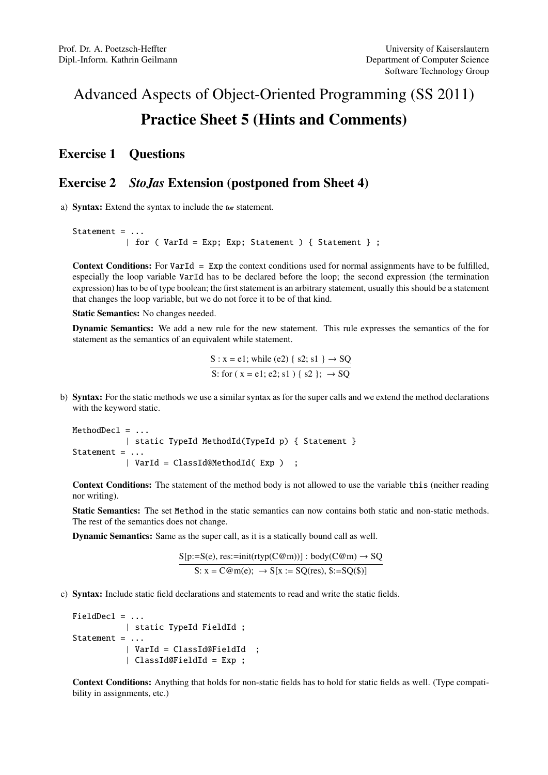# Advanced Aspects of Object-Oriented Programming (SS 2011) Practice Sheet 5 (Hints and Comments)

## Exercise 1 Questions

### Exercise 2 *StoJas* Extension (postponed from Sheet 4)

a) Syntax: Extend the syntax to include the for statement.

Statement = ... | for ( VarId = Exp; Exp; Statement ) { Statement } ;

Context Conditions: For VarId = Exp the context conditions used for normal assignments have to be fulfilled, especially the loop variable VarId has to be declared before the loop; the second expression (the termination expression) has to be of type boolean; the first statement is an arbitrary statement, usually this should be a statement that changes the loop variable, but we do not force it to be of that kind.

Static Semantics: No changes needed.

Dynamic Semantics: We add a new rule for the new statement. This rule expresses the semantics of the for statement as the semantics of an equivalent while statement.

S: x = e1; while (e2) { s2; s1 } 
$$
\rightarrow
$$
 SQ  
\nS: for ( x = e1; e2; s1 ) { s2 };  $\rightarrow$  SQ

b) Syntax: For the static methods we use a similar syntax as for the super calls and we extend the method declarations with the keyword static.

```
MethodDec1 = ...| static TypeId MethodId(TypeId p) { Statement }
Statement =| VarId = ClassId@MethodId( Exp ) ;
```
Context Conditions: The statement of the method body is not allowed to use the variable this (neither reading nor writing).

Static Semantics: The set Method in the static semantics can now contains both static and non-static methods. The rest of the semantics does not change.

Dynamic Semantics: Same as the super call, as it is a statically bound call as well.

$$
\frac{S[p:=S(e), res:=init(rtyp(C@m))]: body(C@m) \to SQ}{S: x = C@m(e); \to S[x := SQ(res), \$:=SQ(\$)]}
$$

c) Syntax: Include static field declarations and statements to read and write the static fields.

```
FieldDec1 = ...| static TypeId FieldId ;
Statement = ...
           | VarId = ClassId@FieldId ;
           | ClassId@FieldId = Exp ;
```
Context Conditions: Anything that holds for non-static fields has to hold for static fields as well. (Type compatibility in assignments, etc.)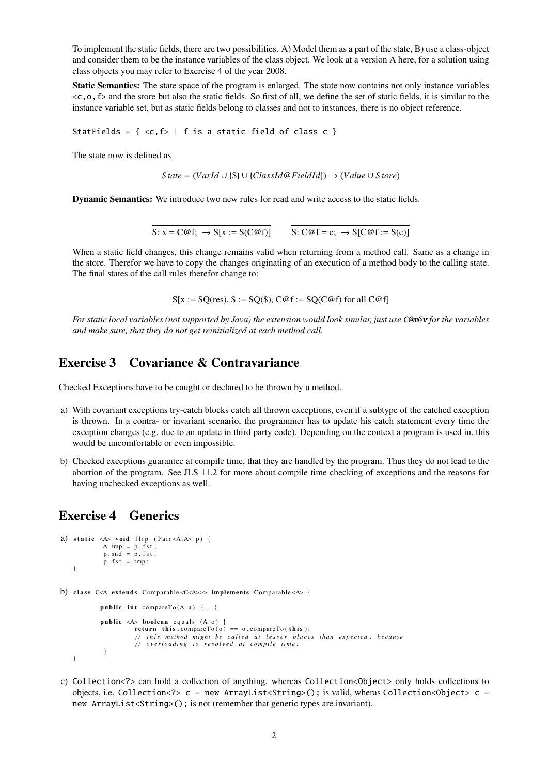To implement the static fields, there are two possibilities. A) Model them as a part of the state, B) use a class-object and consider them to be the instance variables of the class object. We look at a version A here, for a solution using class objects you may refer to Exercise 4 of the year 2008.

Static Semantics: The state space of the program is enlarged. The state now contains not only instance variables  $\langle c, o, f \rangle$  and the store but also the static fields. So first of all, we define the set of static fields, it is similar to the instance variable set, but as static fields belong to classes and not to instances, there is no object reference.

StatFields =  $\{ \langle c, f \rangle \mid f \text{ is a static field of class } c \}$ 

The state now is defined as

$$
State = (VarId \cup \{\$\} \cup \{ClassId@FieldId\}) \rightarrow (Value \cup Store)
$$

Dynamic Semantics: We introduce two new rules for read and write access to the static fields.

 $S: x = \overline{C@f; \rightarrow S[x := S(\overline{C@f})]}$   $S: \overline{C@f = e; \rightarrow S[\overline{C@f} := S(e)]}$ 

When a static field changes, this change remains valid when returning from a method call. Same as a change in the store. Therefor we have to copy the changes originating of an execution of a method body to the calling state. The final states of the call rules therefor change to:

 $S[x := SO(res), \ S := SO(S), \ C@f := SO(C@f)$  for all  $C@f$ 

*For static local variables (not supported by Java) the extension would look similar, just use* C@m@v *for the variables and make sure, that they do not get reinitialized at each method call.*

#### Exercise 3 Covariance & Contravariance

Checked Exceptions have to be caught or declared to be thrown by a method.

- a) With covariant exceptions try-catch blocks catch all thrown exceptions, even if a subtype of the catched exception is thrown. In a contra- or invariant scenario, the programmer has to update his catch statement every time the exception changes (e.g. due to an update in third party code). Depending on the context a program is used in, this would be uncomfortable or even impossible.
- b) Checked exceptions guarantee at compile time, that they are handled by the program. Thus they do not lead to the abortion of the program. See JLS 11.2 for more about compile time checking of exceptions and the reasons for having unchecked exceptions as well.

#### Exercise 4 Generics

```
a) static \langle A \rangle void flip (Pair\langle A, A \rangle p) {
              A tmp = p. fst;
               p.snd = p.fst;p fst = tmp}
b) class C<A extends Comparable <C<A>>> implements Comparable <A> {
              public int compareTo (A \ a) \ \{ \dots \}public \langle A \rangle boolean equals (A \ o) {
                          return this . compare To ( o ) = = 0. compare To ( this );
                           // this method might be called at lesser places than expected, because<br>// overloading is resolved at compile time.
               }
    }
```
c) Collection<?> can hold a collection of anything, whereas Collection<Object> only holds collections to objects, i.e. Collection<?> c = new ArrayList<String>(); is valid, wheras Collection<Object> c = new ArrayList<String>(); is not (remember that generic types are invariant).